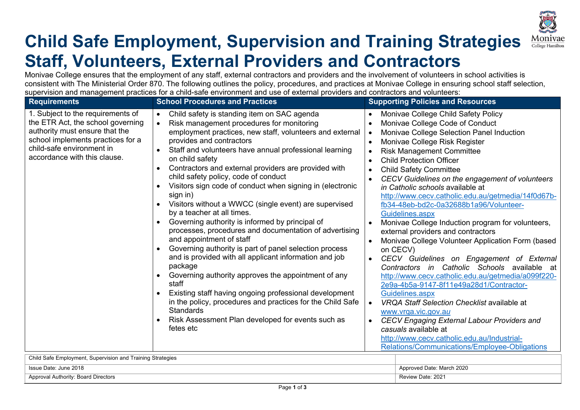

## **Child Safe Employment, Supervision and Training Strategies Staff, Volunteers, External Providers and Contractors**

Monivae College ensures that the employment of any staff, external contractors and providers and the involvement of volunteers in school activities is consistent with The Ministerial Order 870. The following outlines the policy, procedures, and practices at Monivae College in ensuring school staff selection, supervision and management practices for a child-safe environment and use of external providers and contractors and volunteers:

| 1. Subject to the requirements of<br>Child safety is standing item on SAC agenda<br>$\bullet$<br>$\bullet$                                                                                                                                                                                                                                                                                                                                                                                                                                                                                                                                                                                                                                                                                                                                                                                                                                                                                                                                                                                                                                                                                                                                                                                               |                                                                                                                                                                                                                                                                                                                                                                                                                                                                                                                                                                                                                                                                                                                                                                                                                                                                                                                                                                                                                                                                                                                |
|----------------------------------------------------------------------------------------------------------------------------------------------------------------------------------------------------------------------------------------------------------------------------------------------------------------------------------------------------------------------------------------------------------------------------------------------------------------------------------------------------------------------------------------------------------------------------------------------------------------------------------------------------------------------------------------------------------------------------------------------------------------------------------------------------------------------------------------------------------------------------------------------------------------------------------------------------------------------------------------------------------------------------------------------------------------------------------------------------------------------------------------------------------------------------------------------------------------------------------------------------------------------------------------------------------|----------------------------------------------------------------------------------------------------------------------------------------------------------------------------------------------------------------------------------------------------------------------------------------------------------------------------------------------------------------------------------------------------------------------------------------------------------------------------------------------------------------------------------------------------------------------------------------------------------------------------------------------------------------------------------------------------------------------------------------------------------------------------------------------------------------------------------------------------------------------------------------------------------------------------------------------------------------------------------------------------------------------------------------------------------------------------------------------------------------|
| the ETR Act, the school governing<br>Risk management procedures for monitoring<br>$\bullet$<br>authority must ensure that the<br>employment practices, new staff, volunteers and external<br>$\bullet$<br>school implements practices for a<br>provides and contractors<br>$\bullet$<br>child-safe environment in<br>Staff and volunteers have annual professional learning<br>accordance with this clause.<br>on child safety<br>Contractors and external providers are provided with<br>child safety policy, code of conduct<br>Visitors sign code of conduct when signing in (electronic<br>sign in)<br>Visitors without a WWCC (single event) are supervised<br>by a teacher at all times.<br>Governing authority is informed by principal of<br>processes, procedures and documentation of advertising<br>and appointment of staff<br>$\bullet$<br>Governing authority is part of panel selection process<br>and is provided with all applicant information and job<br>$\bullet$<br>package<br>Governing authority approves the appointment of any<br>staff<br>Existing staff having ongoing professional development<br>in the policy, procedures and practices for the Child Safe<br>$\bullet$<br><b>Standards</b><br>Risk Assessment Plan developed for events such as<br>$\bullet$<br>fetes etc | Monivae College Child Safety Policy<br>Monivae College Code of Conduct<br>Monivae College Selection Panel Induction<br>Monivae College Risk Register<br><b>Risk Management Committee</b><br><b>Child Protection Officer</b><br><b>Child Safety Committee</b><br>CECV Guidelines on the engagement of volunteers<br>in Catholic schools available at<br>http://www.cecv.catholic.edu.au/getmedia/14f0d67b-<br>fb34-48eb-bd2c-0a32688b1a96/Volunteer-<br>Guidelines.aspx<br>Monivae College Induction program for volunteers,<br>external providers and contractors<br>Monivae College Volunteer Application Form (based<br>on CECV)<br>CECV Guidelines on Engagement of External<br>Contractors in Catholic Schools available at<br>http://www.cecv.catholic.edu.au/getmedia/a099f220-<br>2e9a-4b5a-9147-8f11e49a28d1/Contractor-<br>Guidelines.aspx<br><b>VRQA Staff Selection Checklist available at</b><br>www.vrga.vic.gov.au<br><b>CECV Engaging External Labour Providers and</b><br>casuals available at<br>http://www.cecv.catholic.edu.au/Industrial-<br>Relations/Communications/Employee-Obligations |

Child Safe Employment, Supervision and Training Strategies Issue Date: June 2018 Approved Date: March 2020 Approval Authority: Board Directors **Review Date: 2021** Review Date: 2021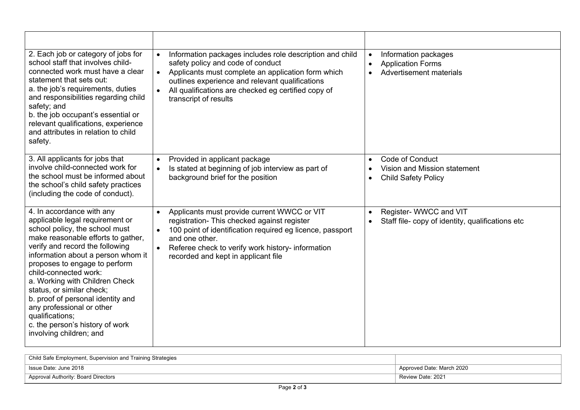| 2. Each job or category of jobs for<br>school staff that involves child-<br>connected work must have a clear<br>statement that sets out:<br>a. the job's requirements, duties<br>and responsibilities regarding child<br>safety; and<br>b. the job occupant's essential or<br>relevant qualifications, experience<br>and attributes in relation to child<br>safety.                                                                                                                       | Information packages includes role description and child<br>$\bullet$<br>safety policy and code of conduct<br>Applicants must complete an application form which<br>outlines experience and relevant qualifications<br>All qualifications are checked eg certified copy of<br>$\bullet$<br>transcript of results | Information packages<br>$\bullet$<br><b>Application Forms</b><br>$\bullet$<br>Advertisement materials |
|-------------------------------------------------------------------------------------------------------------------------------------------------------------------------------------------------------------------------------------------------------------------------------------------------------------------------------------------------------------------------------------------------------------------------------------------------------------------------------------------|------------------------------------------------------------------------------------------------------------------------------------------------------------------------------------------------------------------------------------------------------------------------------------------------------------------|-------------------------------------------------------------------------------------------------------|
| 3. All applicants for jobs that<br>involve child-connected work for<br>the school must be informed about<br>the school's child safety practices<br>(including the code of conduct).                                                                                                                                                                                                                                                                                                       | Provided in applicant package<br>$\bullet$<br>Is stated at beginning of job interview as part of<br>background brief for the position                                                                                                                                                                            | Code of Conduct<br>$\bullet$<br>Vision and Mission statement<br><b>Child Safety Policy</b>            |
| 4. In accordance with any<br>applicable legal requirement or<br>school policy, the school must<br>make reasonable efforts to gather,<br>verify and record the following<br>information about a person whom it<br>proposes to engage to perform<br>child-connected work:<br>a. Working with Children Check<br>status, or similar check;<br>b. proof of personal identity and<br>any professional or other<br>qualifications;<br>c. the person's history of work<br>involving children; and | Applicants must provide current WWCC or VIT<br>$\bullet$<br>registration- This checked against register<br>100 point of identification required eg licence, passport<br>$\bullet$<br>and one other.<br>Referee check to verify work history- information<br>recorded and kept in applicant file                  | Register- WWCC and VIT<br>$\bullet$<br>Staff file-copy of identity, qualifications etc                |

| Child Safe Employment, Supervision and Training Strategies |                           |
|------------------------------------------------------------|---------------------------|
| Issue Date: June 2018                                      | Approved Date: March 2020 |
| Approval Authority: Board Directors                        | Review Date: 2021         |